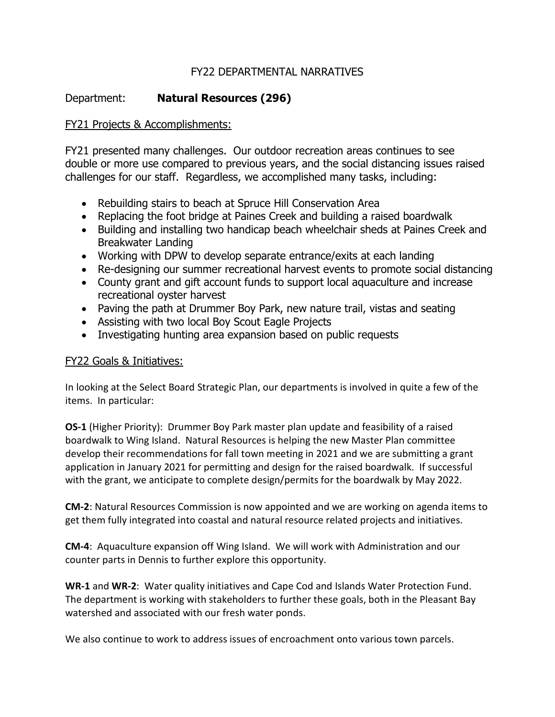## FY22 DEPARTMENTAL NARRATIVES

## Department: **Natural Resources (296)**

## FY21 Projects & Accomplishments:

FY21 presented many challenges. Our outdoor recreation areas continues to see double or more use compared to previous years, and the social distancing issues raised challenges for our staff. Regardless, we accomplished many tasks, including:

- Rebuilding stairs to beach at Spruce Hill Conservation Area
- Replacing the foot bridge at Paines Creek and building a raised boardwalk
- Building and installing two handicap beach wheelchair sheds at Paines Creek and Breakwater Landing
- Working with DPW to develop separate entrance/exits at each landing
- Re-designing our summer recreational harvest events to promote social distancing
- County grant and gift account funds to support local aquaculture and increase recreational oyster harvest
- Paving the path at Drummer Boy Park, new nature trail, vistas and seating
- Assisting with two local Boy Scout Eagle Projects
- Investigating hunting area expansion based on public requests

## FY22 Goals & Initiatives:

In looking at the Select Board Strategic Plan, our departments is involved in quite a few of the items. In particular:

**OS-1** (Higher Priority): Drummer Boy Park master plan update and feasibility of a raised boardwalk to Wing Island. Natural Resources is helping the new Master Plan committee develop their recommendations for fall town meeting in 2021 and we are submitting a grant application in January 2021 for permitting and design for the raised boardwalk. If successful with the grant, we anticipate to complete design/permits for the boardwalk by May 2022.

**CM-2**: Natural Resources Commission is now appointed and we are working on agenda items to get them fully integrated into coastal and natural resource related projects and initiatives.

**CM-4**: Aquaculture expansion off Wing Island. We will work with Administration and our counter parts in Dennis to further explore this opportunity.

**WR-1** and **WR-2**: Water quality initiatives and Cape Cod and Islands Water Protection Fund. The department is working with stakeholders to further these goals, both in the Pleasant Bay watershed and associated with our fresh water ponds.

We also continue to work to address issues of encroachment onto various town parcels.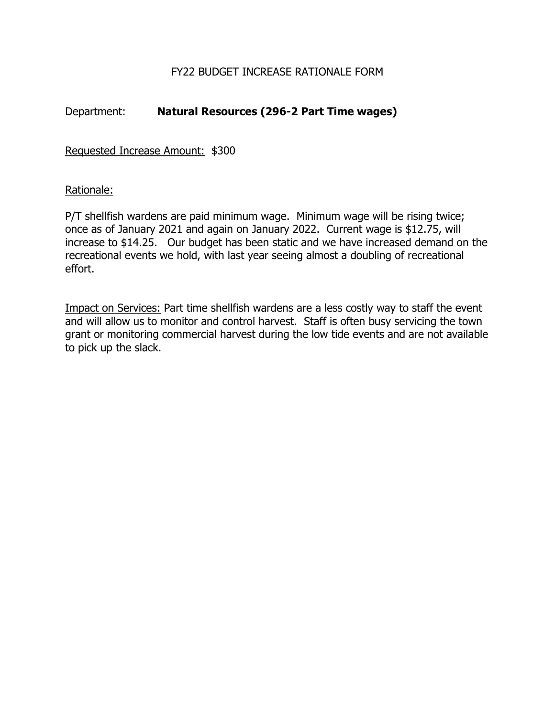## FY22 BUDGET INCREASE RATIONALE FORM

## Department: **Natural Resources (296-2 Part Time wages)**

Requested Increase Amount: \$300

## Rationale:

P/T shellfish wardens are paid minimum wage. Minimum wage will be rising twice; once as of January 2021 and again on January 2022. Current wage is \$12.75, will increase to \$14.25. Our budget has been static and we have increased demand on the recreational events we hold, with last year seeing almost a doubling of recreational effort.

Impact on Services: Part time shellfish wardens are a less costly way to staff the event and will allow us to monitor and control harvest. Staff is often busy servicing the town grant or monitoring commercial harvest during the low tide events and are not available to pick up the slack.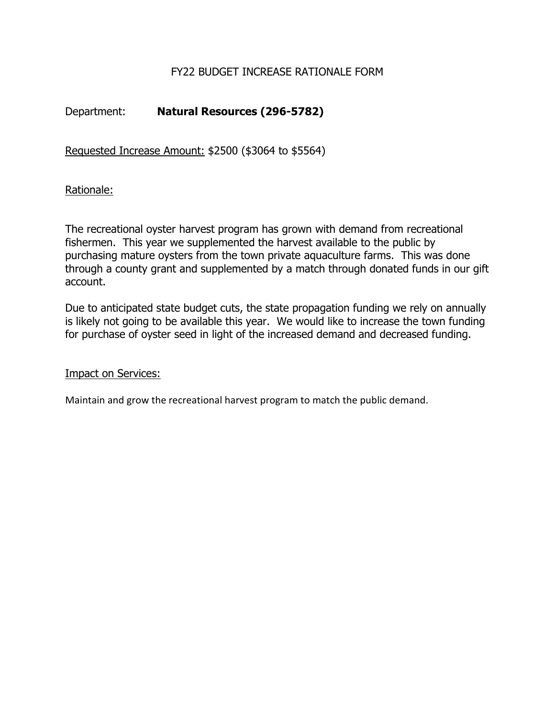## FY22 BUDGET INCREASE RATIONALE FORM

# Department: **Natural Resources (296-5782)**

Requested Increase Amount: \$2500 (\$3064 to \$5564)

Rationale:

The recreational oyster harvest program has grown with demand from recreational fishermen. This year we supplemented the harvest available to the public by purchasing mature oysters from the town private aquaculture farms. This was done through a county grant and supplemented by a match through donated funds in our gift account.

Due to anticipated state budget cuts, the state propagation funding we rely on annually is likely not going to be available this year. We would like to increase the town funding for purchase of oyster seed in light of the increased demand and decreased funding.

Impact on Services:

Maintain and grow the recreational harvest program to match the public demand.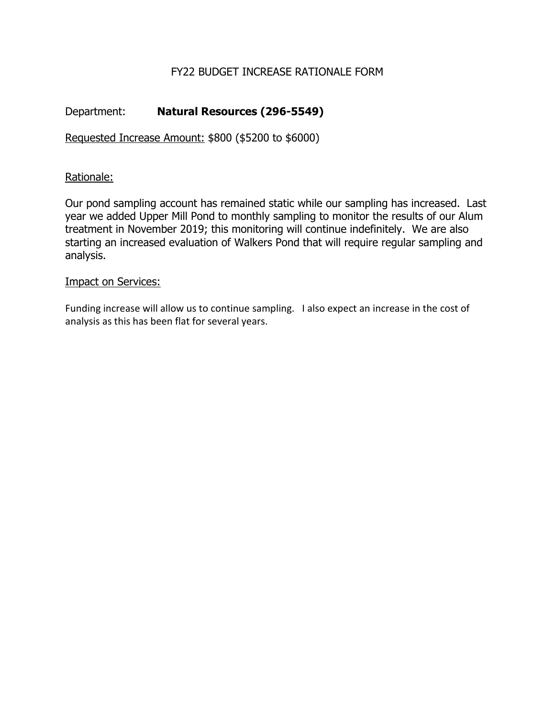## FY22 BUDGET INCREASE RATIONALE FORM

# Department: **Natural Resources (296-5549)**

Requested Increase Amount: \$800 (\$5200 to \$6000)

### Rationale:

Our pond sampling account has remained static while our sampling has increased. Last year we added Upper Mill Pond to monthly sampling to monitor the results of our Alum treatment in November 2019; this monitoring will continue indefinitely. We are also starting an increased evaluation of Walkers Pond that will require regular sampling and analysis.

### Impact on Services:

Funding increase will allow us to continue sampling. I also expect an increase in the cost of analysis as this has been flat for several years.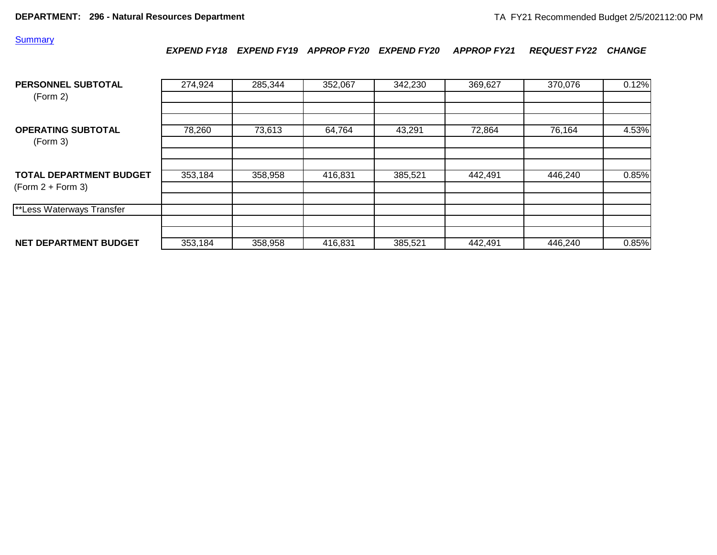#### **Summary**

*EXPEND FY18 EXPEND FY19 APPROP FY20 EXPEND FY20 APPROP FY21 REQUEST FY22 CHANGE*

| PERSONNEL SUBTOTAL<br>(Form 2)                        | 274,924 | 285,344 | 352,067 | 342,230 | 369,627 | 370,076 | 0.12% |
|-------------------------------------------------------|---------|---------|---------|---------|---------|---------|-------|
| <b>OPERATING SUBTOTAL</b>                             | 78,260  | 73,613  | 64,764  | 43,291  | 72,864  | 76,164  | 4.53% |
| (Form 3)                                              |         |         |         |         |         |         |       |
| <b>TOTAL DEPARTMENT BUDGET</b><br>$(Form 2 + Form 3)$ | 353,184 | 358,958 | 416,831 | 385,521 | 442,491 | 446,240 | 0.85% |
| **Less Waterways Transfer                             |         |         |         |         |         |         |       |
|                                                       |         |         |         |         |         |         |       |
| NET DEPARTMENT BUDGET                                 | 353,184 | 358,958 | 416,831 | 385,521 | 442,491 | 446,240 | 0.85% |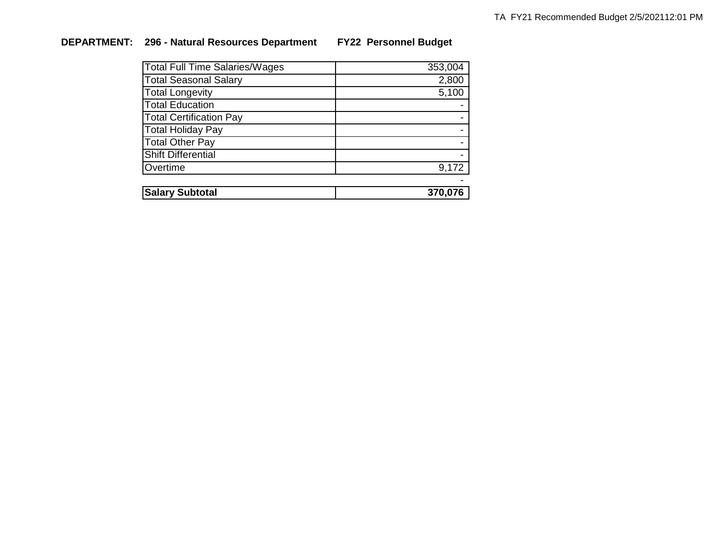# **DEPARTMENT: 296 - Natural Resources Department FY22 Personnel Budget**

| Total Full Time Salaries/Wages | 353,004 |
|--------------------------------|---------|
| <b>Total Seasonal Salary</b>   | 2,800   |
| <b>Total Longevity</b>         | 5,100   |
| <b>Total Education</b>         |         |
| <b>Total Certification Pay</b> |         |
| <b>Total Holiday Pay</b>       |         |
| <b>Total Other Pay</b>         |         |
| <b>Shift Differential</b>      |         |
| Overtime                       | 9,172   |
|                                |         |
| <b>Salary Subtotal</b>         | 370,076 |